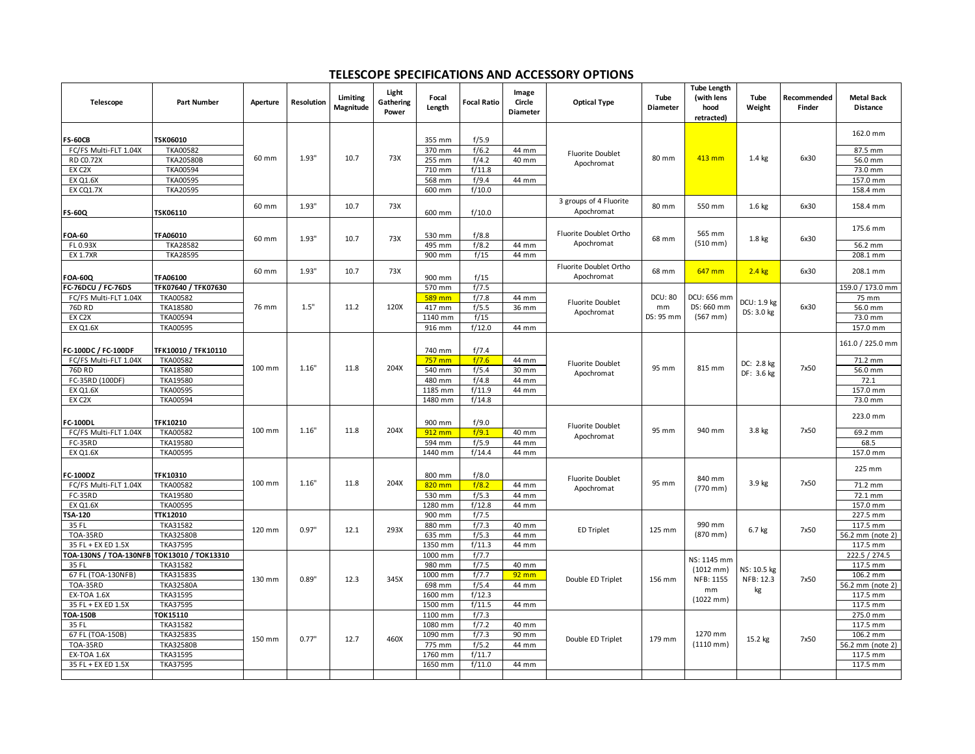## **TELESCOPE SPECIFICATIONS AND ACCESSORY OPTIONS**

| Telescope                                  | <b>Part Number</b>                 | Aperture | <b>Resolution</b> | Limiting<br>Magnitude | Light<br>Gathering<br>Power | Focal<br>Length   | <b>Focal Ratio</b> | Image<br>Circle<br><b>Diameter</b> | <b>Optical Type</b>                   | Tube<br>Diameter | <b>Tube Length</b><br>(with lens<br>hood<br>retracted) | Tube<br>Weight                 | Recommended<br>Finder | <b>Metal Back</b><br><b>Distance</b> |
|--------------------------------------------|------------------------------------|----------|-------------------|-----------------------|-----------------------------|-------------------|--------------------|------------------------------------|---------------------------------------|------------------|--------------------------------------------------------|--------------------------------|-----------------------|--------------------------------------|
| FS-60CB                                    | <b>TSK06010</b>                    |          |                   |                       |                             | 355 mm            | f/5.9              |                                    |                                       |                  |                                                        |                                |                       | 162.0 mm                             |
| FC/FS Multi-FLT 1.04X                      | TKA00582                           | 60 mm    | 1.93"             | 10.7                  | 73X                         | 370 mm            | f/6.2              | 44 mm                              | <b>Fluorite Doublet</b><br>Apochromat | 80 mm            | 413 mm                                                 | 1.4 kg                         | 6x30                  | 87.5 mm                              |
| <b>RD CO.72X</b>                           | <b>TKA20580B</b>                   |          |                   |                       |                             | 255 mm            | f/4.2              | 40 mm                              |                                       |                  |                                                        |                                |                       | 56.0 mm                              |
| EX C2X                                     | TKA00594                           |          |                   |                       |                             | 710 mm            | f/11.8             |                                    |                                       |                  |                                                        |                                |                       | 73.0 mm                              |
| <b>EX Q1.6X</b>                            | <b>TKA00595</b>                    |          |                   |                       |                             | 568 mm            | f/9.4              | 44 mm                              |                                       |                  |                                                        |                                |                       | 157.0 mm                             |
| <b>EX CQ1.7X</b>                           | <b>TKA20595</b>                    |          |                   |                       |                             | 600 mm            | f/10.0             |                                    |                                       |                  |                                                        |                                |                       | 158.4 mm                             |
| <b>FS-60Q</b>                              | TSK06110                           | 60 mm    | 1.93"             | 10.7                  | 73X                         | 600 mm            | f/10.0             |                                    | 3 groups of 4 Fluorite<br>Apochromat  | 80 mm            | 550 mm                                                 | 1.6 <sub>kg</sub>              | 6x30                  | 158.4 mm                             |
|                                            |                                    |          |                   |                       |                             |                   |                    |                                    |                                       |                  |                                                        |                                |                       |                                      |
| FOA-60                                     | TFA06010                           |          |                   |                       |                             | 530 mm            | f/8.8              |                                    | Fluorite Doublet Ortho                |                  | 565 mm                                                 |                                |                       | 175.6 mm                             |
| FL 0.93X                                   | <b>TKA28582</b>                    | 60 mm    | 1.93"             | 10.7                  | 73X                         | 495 mm            | f/8.2              | 44 mm                              | Apochromat                            | 68 mm            | $(510 \, \text{mm})$                                   | 1.8 kg                         | 6x30                  | 56.2 mm                              |
| <b>EX 1.7XR</b>                            | <b>TKA28595</b>                    |          |                   |                       |                             | 900 mm            | f/15               | 44 mm                              |                                       |                  |                                                        |                                |                       | 208.1 mm                             |
|                                            |                                    | 60 mm    | 1.93"             | 10.7                  | 73X                         |                   |                    |                                    | Fluorite Doublet Ortho                | 68 mm            | 647 mm                                                 | $2.4$ kg                       | 6x30                  | 208.1 mm                             |
| OA-60Q                                     | TFA06100                           |          |                   |                       |                             | 900 mm            | f/15               |                                    | Apochromat                            |                  |                                                        |                                |                       |                                      |
| FC-76DCU / FC-76DS                         | TFK07640 / TFK07630                |          |                   |                       |                             | 570 mm            | f/7.5              |                                    |                                       | <b>DCU: 80</b>   | DCU: 656 mm                                            |                                |                       | 159.0 / 173.0 mm                     |
| FC/FS Multi-FLT 1.04X<br>76D RD            | <b>TKA00582</b><br>TKA18580        | 76 mm    | 1.5"              | 11.2                  | 120X                        | 589 mm<br>417 mm  | f/7.8<br>f/5.5     | 44 mm<br>36 mm                     | <b>Fluorite Doublet</b>               | mm               | DS: 660 mm                                             | DCU: 1.9 kg                    | 6x30                  | 75 mm<br>56.0 mm                     |
| EX C2X                                     | <b>TKA00594</b>                    |          |                   |                       |                             | 1140 mm           | f/15               |                                    | Apochromat                            | DS: 95 mm        | $(567$ mm)                                             | DS: 3.0 kg                     |                       | 73.0 mm                              |
| <b>EX Q1.6X</b>                            | TKA00595                           |          |                   |                       |                             | 916 mm            | f/12.0             | 44 mm                              |                                       |                  |                                                        |                                |                       | 157.0 mm                             |
|                                            |                                    |          |                   |                       |                             |                   |                    |                                    |                                       |                  |                                                        |                                |                       |                                      |
| FC-100DC / FC-100DF                        | TFK10010 / TFK10110                |          |                   |                       |                             | 740 mm            | f/7.4              |                                    |                                       |                  |                                                        |                                |                       | 161.0 / 225.0 mm                     |
| FC/FS Multi-FLT 1.04X                      | <b>TKA00582</b>                    | 100 mm   | 1.16"             | 11.8                  | 204X                        | $757$ mm          | f/7.6              | 44 mm                              | <b>Fluorite Doublet</b><br>Apochromat | 95 mm            | 815 mm                                                 | DC: 2.8 kg<br>DF: 3.6 kg       | 7x50                  | 71.2 mm                              |
| 76D RD                                     | TKA18580                           |          |                   |                       |                             | 540 mm            | f/5.4              | 30 mm                              |                                       |                  |                                                        |                                |                       | 56.0 mm                              |
| FC-35RD (100DF)                            | TKA19580                           |          |                   |                       |                             | 480 mm            | f/4.8              | 44 mm                              |                                       |                  |                                                        |                                |                       | 72.1                                 |
| <b>EX Q1.6X</b>                            | <b>TKA00595</b>                    |          |                   |                       |                             | 1185 mm           | f/11.9             | 44 mm                              |                                       |                  |                                                        |                                |                       | 157.0 mm                             |
| EX C2X                                     | <b>TKA00594</b>                    |          |                   |                       |                             | 1480 mm           | f/14.8             |                                    |                                       |                  |                                                        |                                |                       | 73.0 mm                              |
|                                            |                                    |          |                   |                       |                             |                   |                    |                                    |                                       |                  |                                                        |                                |                       | 223.0 mm                             |
| C-100DL                                    | <b>TFK10210</b><br><b>TKA00582</b> | 100 mm   | 1.16"             | 11.8                  | 204X                        | 900 mm<br>912 mm  | f/9.0<br>f/9.1     |                                    | Fluorite Doublet                      | 95 mm            | 940 mm                                                 | 3.8 kg                         | 7x50                  |                                      |
| FC/FS Multi-FLT 1.04X<br>FC-35RD           | TKA19580                           |          |                   |                       |                             | 594 mm            | f/5.9              | 40 mm<br>44 mm                     | Apochromat                            |                  |                                                        |                                |                       | 69.2 mm<br>68.5                      |
| <b>EX Q1.6X</b>                            | <b>TKA00595</b>                    |          |                   |                       |                             | 1440 mm           | f/14.4             | 44 mm                              |                                       |                  |                                                        |                                |                       | 157.0 mm                             |
|                                            |                                    |          |                   |                       |                             |                   |                    |                                    |                                       |                  |                                                        |                                |                       |                                      |
| C-100DZ                                    | <b>TFK10310</b>                    |          |                   |                       |                             | 800 mm            | f/8.0              |                                    |                                       |                  |                                                        |                                |                       | 225 mm                               |
| FC/FS Multi-FLT 1.04X                      | <b>TKA00582</b>                    | 100 mm   | 1.16"             | 11.8                  | 204X                        | 820 mm            | f/8.2              | 44 mm                              | Fluorite Doublet<br>Apochromat        | 95 mm            | 840 mm<br>$(770$ mm)                                   | 3.9 kg                         | 7x50                  | 71.2 mm                              |
| FC-35RD                                    | TKA19580                           |          |                   |                       |                             | 530 mm            | f/5.3              | 44 mm                              |                                       |                  |                                                        |                                |                       | 72.1 mm                              |
| <b>EX Q1.6X</b>                            | <b>TKA00595</b>                    |          |                   |                       |                             | 1280 mm           | f/12.8             | 44 mm                              |                                       |                  |                                                        |                                |                       | 157.0 mm                             |
| TSA-120                                    | TTK12010                           | 120 mm   | 0.97"             | 12.1                  | 293X                        | 900 mm            | f/7.5              |                                    |                                       |                  |                                                        |                                |                       | 227.5 mm                             |
| 35 FL                                      | TKA31582                           |          |                   |                       |                             | 880 mm            | f/7.3              | 40 mm                              | <b>ED Triplet</b>                     | 125 mm           | 990 mm                                                 | $6.7$ kg                       | 7x50                  | 117.5 mm                             |
| <b>TOA-35RD</b>                            | <b>TKA32580B</b>                   |          |                   |                       |                             | 635 mm            | f/5.3              | 44 mm                              |                                       |                  | $(870 \, \text{mm})$                                   |                                |                       | 56.2 mm (note 2)                     |
| 35 FL + EX ED 1.5X                         | TKA37595                           |          |                   |                       |                             | 1350 mm           | f/11.3             | 44 mm                              |                                       |                  |                                                        |                                |                       | 117.5 mm                             |
| TOA-130NS / TOA-130NFB TOK13010 / TOK13310 |                                    |          |                   |                       |                             | 1000 mm           | f/7.7              |                                    |                                       |                  | NS: 1145 mm                                            |                                |                       | 222.5 / 274.5                        |
| 35 FL<br>67 FL (TOA-130NFB)                | <b>TKA31582</b><br>TKA31583S       | 130 mm   | 0.89"             | 12.3                  | 345X                        | 980 mm<br>1000 mm | f/7.5<br>f/7.7     | 40 mm<br>$92 \, \text{mm}$         | Double ED Triplet                     | 156 mm           | $(1012 \, mm)$<br>NFB: 1155<br>mm                      | NS: 10.5 kg<br>NFB: 12.3<br>kg |                       | 117.5 mm<br>106.2 mm                 |
| <b>TOA-35RD</b>                            | <b>TKA32580A</b>                   |          |                   |                       |                             | 698 mm            | f/5.4              | 44 mm                              |                                       |                  |                                                        |                                | 7x50                  | 56.2 mm (note 2)                     |
| <b>EX-TOA 1.6X</b>                         | TKA31595                           |          |                   |                       |                             | 1600 mm           | f/12.3             |                                    |                                       |                  |                                                        |                                |                       | 117.5 mm                             |
| 35 FL + EX ED 1.5X                         | TKA37595                           |          |                   |                       |                             | 1500 mm           | f/11.5             | 44 mm                              |                                       |                  | $(1022 \, mm)$                                         |                                |                       | 117.5 mm                             |
| TOA-150B                                   | <b>TOK15110</b>                    |          |                   |                       |                             | 1100 mm           | f/7.3              |                                    |                                       |                  |                                                        |                                |                       | 275.0 mm                             |
| 35 FL                                      | <b>TKA31582</b>                    |          |                   |                       |                             | 1080 mm           | f/7.2              | 40 mm                              |                                       |                  |                                                        |                                |                       | 117.5 mm                             |
| 67 FL (TOA-150B)                           | TKA32583S                          | 150 mm   | 0.77"             | 12.7                  | 460X                        | 1090 mm           | f/7.3              | 90 mm                              | Double ED Triplet                     | 179 mm           | 1270 mm<br>$(1110 \, mm)$                              | 15.2 kg                        | 7x50                  | 106.2 mm                             |
| <b>TOA-35RD</b>                            | <b>TKA32580B</b>                   |          |                   |                       |                             | 775 mm            | f/5.2              | 44 mm                              |                                       |                  |                                                        |                                |                       | 56.2 mm (note 2)                     |
| EX-TOA 1.6X                                | TKA31595                           |          |                   |                       |                             | 1760 mm           | f/11.7             |                                    |                                       |                  |                                                        |                                |                       | 117.5 mm                             |
| 35 FL + EX ED 1.5X                         | TKA37595                           |          |                   |                       |                             | 1650 mm           | f/11.0             | 44 mm                              |                                       |                  |                                                        |                                |                       | 117.5 mm                             |
|                                            |                                    |          |                   |                       |                             |                   |                    |                                    |                                       |                  |                                                        |                                |                       |                                      |